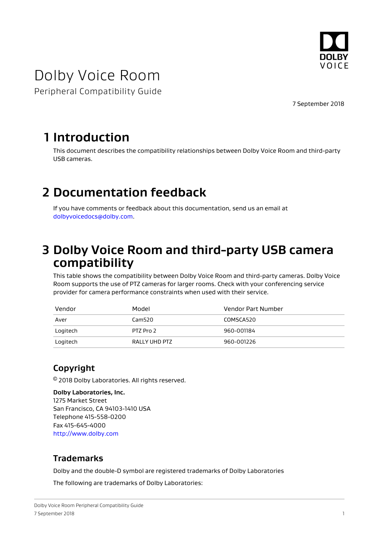

# Dolby Voice Room

Peripheral Compatibility Guide

7 September 2018

### **1 Introduction**

This document describes the compatibility relationships between Dolby Voice Room and third-party USB cameras.

## **2 Documentation feedback**

If you have comments or feedback about this documentation, send us an email at [dolbyvoicedocs@dolby.com.](mailto:dolbyvoicedocs@dolby.com)

### **3 Dolby Voice Room and third-party USB camera compatibility**

This table shows the compatibility between Dolby Voice Room and third-party cameras. Dolby Voice Room supports the use of PTZ cameras for larger rooms. Check with your conferencing service provider for camera performance constraints when used with their service.

| Vendor   | Model         | Vendor Part Number |
|----------|---------------|--------------------|
| Aver     | Cam520        | COMSCA520          |
| Logitech | PTZ Pro 2     | 960-001184         |
| Logitech | RALLY UHD PTZ | 960-001226         |

### **Copyright**

© 2018 Dolby Laboratories. All rights reserved.

**Dolby Laboratories, Inc.** 1275 Market Street San Francisco, CA 94103-1410 USA Telephone 415-558-0200 Fax 415-645-4000 <http://www.dolby.com>

#### **Trademarks**

Dolby and the double-D symbol are registered trademarks of Dolby Laboratories

The following are trademarks of Dolby Laboratories: